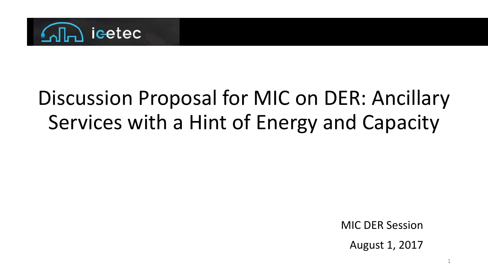

#### Discussion Proposal for MIC on DER: Ancillary Services with a Hint of Energy and Capacity

MIC DER Session

August 1, 2017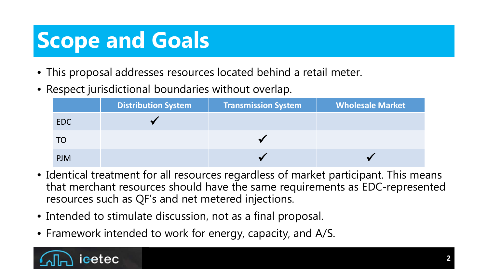# **Scope and Goals**

- This proposal addresses resources located behind a retail meter.
- Respect jurisdictional boundaries without overlap.

|            | <b>Distribution System</b> | <b>Transmission System</b> | <b>Wholesale Market</b> |
|------------|----------------------------|----------------------------|-------------------------|
| <b>EDC</b> |                            |                            |                         |
| TO         |                            |                            |                         |
| <b>PJM</b> |                            |                            |                         |

- Identical treatment for all resources regardless of market participant. This means that merchant resources should have the same requirements as EDC-represented resources such as QF's and net metered injections.
- Intended to stimulate discussion, not as a final proposal.
- Framework intended to work for energy, capacity, and A/S.

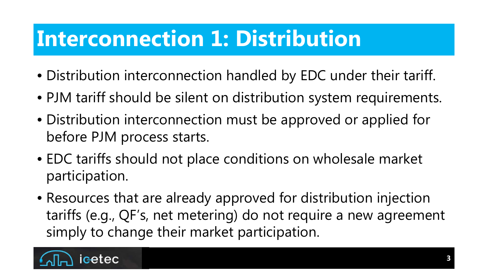## **Interconnection 1: Distribution**

- Distribution interconnection handled by EDC under their tariff.
- PJM tariff should be silent on distribution system requirements.
- Distribution interconnection must be approved or applied for before PJM process starts.
- EDC tariffs should not place conditions on wholesale market participation.
- Resources that are already approved for distribution injection tariffs (e.g., QF's, net metering) do not require a new agreement simply to change their market participation.

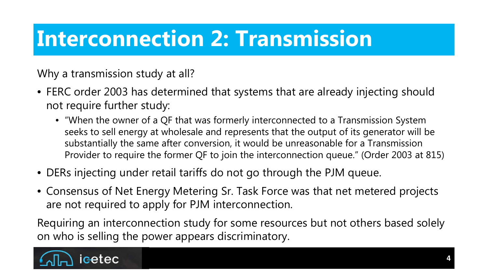## **Interconnection 2: Transmission**

Why a transmission study at all?

- FERC order 2003 has determined that systems that are already injecting should not require further study:
	- "When the owner of a QF that was formerly interconnected to a Transmission System seeks to sell energy at wholesale and represents that the output of its generator will be substantially the same after conversion, it would be unreasonable for a Transmission Provider to require the former QF to join the interconnection queue." (Order 2003 at 815)
- DERs injecting under retail tariffs do not go through the PJM queue.
- Consensus of Net Energy Metering Sr. Task Force was that net metered projects are not required to apply for PJM interconnection.

Requiring an interconnection study for some resources but not others based solely on who is selling the power appears discriminatory.

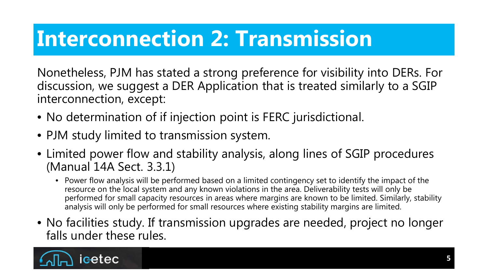## **Interconnection 2: Transmission**

Nonetheless, PJM has stated a strong preference for visibility into DERs. For discussion, we suggest a DER Application that is treated similarly to a SGIP interconnection, except:

- No determination of if injection point is FERC jurisdictional.
- PJM study limited to transmission system.
- Limited power flow and stability analysis, along lines of SGIP procedures (Manual 14A Sect. 3.3.1)
	- Power flow analysis will be performed based on a limited contingency set to identify the impact of the resource on the local system and any known violations in the area. Deliverability tests will only be performed for small capacity resources in areas where margins are known to be limited. Similarly, stability analysis will only be performed for small resources where existing stability margins are limited.
- No facilities study. If transmission upgrades are needed, project no longer falls under these rules.

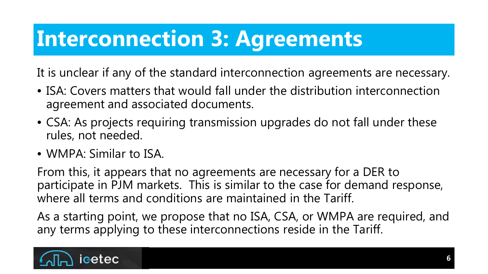# **Interconnection 3: Agreements**

It is unclear if any of the standard interconnection agreements are necessary.

- ISA: Covers matters that would fall under the distribution interconnection agreement and associated documents.
- CSA: As projects requiring transmission upgrades do not fall under these rules, not needed.
- WMPA: Similar to ISA.

From this, it appears that no agreements are necessary for a DER to participate in PJM markets. This is similar to the case for demand response, where all terms and conditions are maintained in the Tariff.

As a starting point, we propose that no ISA, CSA, or WMPA are required, and any terms applying to these interconnections reside in the Tariff.

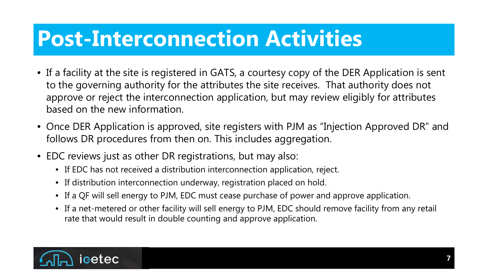#### **Post-Interconnection Activities**

- If a facility at the site is registered in GATS, a courtesy copy of the DER Application is sent to the governing authority for the attributes the site receives. That authority does not approve or reject the interconnection application, but may review eligibly for attributes based on the new information.
- Once DER Application is approved, site registers with PJM as "Injection Approved DR" and follows DR procedures from then on. This includes aggregation.
- EDC reviews just as other DR registrations, but may also:
	- If EDC has not received a distribution interconnection application, reject.
	- If distribution interconnection underway, registration placed on hold.
	- If a QF will sell energy to PJM, EDC must cease purchase of power and approve application.
	- If a net-metered or other facility will sell energy to PJM, EDC should remove facility from any retail rate that would result in double counting and approve application.

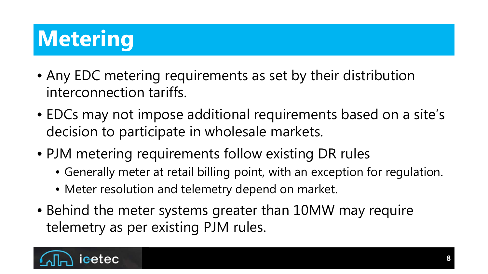# **Metering**

- Any EDC metering requirements as set by their distribution interconnection tariffs.
- EDCs may not impose additional requirements based on a site's decision to participate in wholesale markets.
- PJM metering requirements follow existing DR rules
	- Generally meter at retail billing point, with an exception for regulation.
	- Meter resolution and telemetry depend on market.
- Behind the meter systems greater than 10MW may require telemetry as per existing PJM rules.